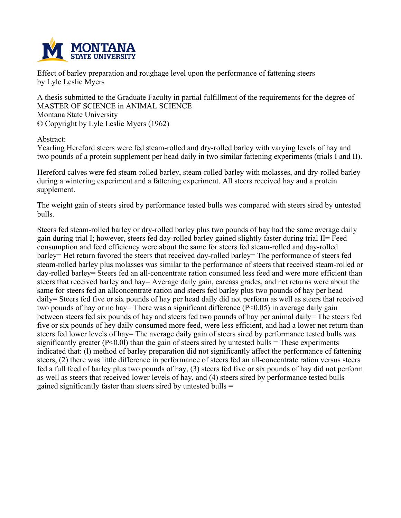

**Effect of barley preparation and roughage level upon the performance of fattening steers by Lyle Leslie Myers**

**A thesis submitted to the Graduate Faculty in partial fulfillment of the requirements for the degree of MASTER OF SCIENCE in ANIMAL SCIENCE Montana State University © Copyright by Lyle Leslie Myers (1962)**

**Abstract:**

**Yearling Hereford steers were fed steam-rolled and dry-rolled barley with varying levels of hay and** two pounds of a protein supplement per head daily in two similar fattening experiments (trials I and II).

**Hereford calves were fed steam-rolled barley, steam-rolled barley with molasses, and dry-rolled barley during a wintering experiment and a fattening experiment. All steers received hay and a protein supplement.**

**The weight gain of steers sired by performance tested bulls was compared with steers sired by untested bulls.**

**Steers fed steam-rolled barley or dry-rolled barley plus two pounds of hay had the same average daily gain during trial I; however, steers fed day-rolled barley gained slightly faster during trial II= Feed consumption and feed efficiency were about the same for steers fed steam-rolled and day-rolled barley= Het return favored the steers that received day-rolled barley= The performance of steers fed steam-rolled barley plus molasses was similar to the performance of steers that received steam-rolled or day-rolled barley= Steers fed an all-concentrate ration consumed less feed and were more efficient than steers that received barley and hay= Average daily gain, carcass grades, and net returns were about the same for steers fed an allconcentrate ration and steers fed barley plus two pounds of hay per head** daily = Steers fed five or six pounds of hay per head daily did not perform as well as steers that received **two pounds of hay or no hay= There was a significant difference (P<0.05) in average daily gain** between steers fed six pounds of hay and steers fed two pounds of hay per animal daily= The steers fed five or six pounds of hey daily consumed more feed, were less efficient, and had a lower net return than steers fed lower levels of hay= The average daily gain of steers sired by performance tested bulls was **significantly greater (P<0.0l) than the gain of steers sired by untested bulls = These experiments indicated that: (l) method of barley preparation did not significantly affect the performance of fattening steers, (2) there was little difference in performance of steers fed an all-concentrate ration versus steers** fed a full feed of barley plus two pounds of hay, (3) steers fed five or six pounds of hay did not perform as well as steers that received lower levels of hay, and (4) steers sired by performance tested bulls **gained significantly faster than steers sired by untested bulls =**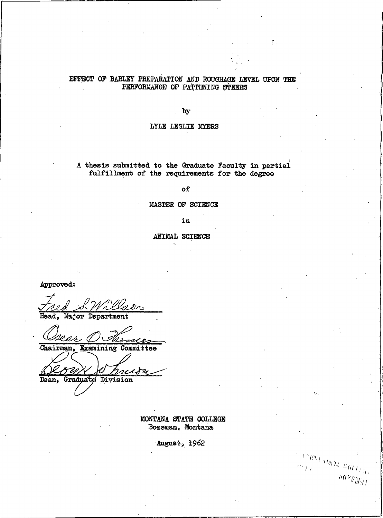## EFFECT OF BARLEY PREPARATION AND ROUGHAGE LEVEL UPON THE PERFORMANCE OF FATTENING STEERS

 $\Gamma$  .

 $\mathbb{E}(\mathfrak{g}_{L})$  state  $\mathcal{L}_{G_{L,L}}$ 

 $^{30\,2} \dot{\varepsilon}_{d,j}$ 

by

### LYLE LESLIE MYERS

A thesis submitted to the Graduate Faculty in partial fulfillment of the requirements for the degree

of

### MASTER OF SCIENCE

in

ANIMAL SCIENCE

Approved:

Head, Major Department

rodes

Chairman, Examining Committee

ss x

**Graduate** Division Dean,

> MONTANA STATE COLLEGE Bozeman, Montana

> > August, 1962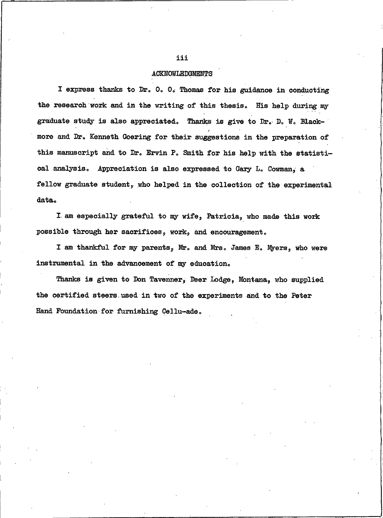### ACKNOWLEDGMENTS

I express thanks to Dr. O. O. Thomas for his guidance in conducting the research work and in the writing of this thesis. His help during my graduate study is also appreciated. Thanks is give to Dr. D. W. Blackmore and Dr. Kenneth Goering for their suggestions in the preparation of this manuscript and to Dr. Ervin P. Smith for his help with the statistical analysis. Appreciation is also expressed to Gary L. Cowman, a fellow graduate student, who helped in the collection of the experimental data.

I am especially grateful to my wife, Patricia, who made this work possible through her sacrifices, work, and encouragement.

I am thankful for my parents, Mr. and Mrs. James E. Myers, who were instrumental in the advancement of my education.

Thanks is given to Don Tavenner, Deer Lodge, Montana, who supplied the certified steers used in two of the experiments and to the Peter Hand Foundation for furnishing Cellu-ade.

#### iii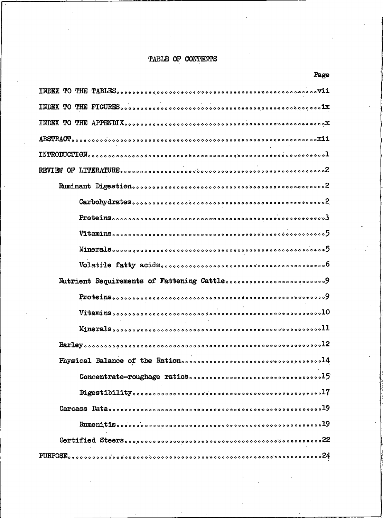# TABLE OF CONTENTS

| rage                                                                                                                                                                                                                                                                                                                                                                                                                                                                                                                  |
|-----------------------------------------------------------------------------------------------------------------------------------------------------------------------------------------------------------------------------------------------------------------------------------------------------------------------------------------------------------------------------------------------------------------------------------------------------------------------------------------------------------------------|
|                                                                                                                                                                                                                                                                                                                                                                                                                                                                                                                       |
|                                                                                                                                                                                                                                                                                                                                                                                                                                                                                                                       |
|                                                                                                                                                                                                                                                                                                                                                                                                                                                                                                                       |
| $\text{ABSTRACT}_{\text{o} \circ \text{o} \circ \text{o} \circ \text{o} \circ \text{o} \circ \text{o} \circ \text{o} \circ \text{o} \circ \text{o} \circ \text{o} \circ \text{o} \circ \text{o} \circ \text{o} \circ \text{o} \circ \text{o} \circ \text{o} \circ \text{o} \circ \text{o} \circ \text{o} \circ \text{o} \circ \text{o} \circ \text{o} \circ \text{o} \circ \text{o} \circ \text{o} \circ \text{o} \circ \text{o} \circ \text{a} \cdot \text{a} \cdot \text{ii}}$                                      |
|                                                                                                                                                                                                                                                                                                                                                                                                                                                                                                                       |
|                                                                                                                                                                                                                                                                                                                                                                                                                                                                                                                       |
|                                                                                                                                                                                                                                                                                                                                                                                                                                                                                                                       |
|                                                                                                                                                                                                                                                                                                                                                                                                                                                                                                                       |
| $\textbf{Proteins}_{\textcolor{red}{\textbf{0}}\textcolor{red}{\textbf{0}}\textcolor{red}{\textbf{0}}\textcolor{red}{\textbf{0}}\textcolor{red}{\textbf{0}}\textcolor{red}{\textbf{0}}\textcolor{red}{\textbf{0}}\textcolor{red}{\textbf{0}}\textcolor{red}{\textbf{0}}\textcolor{red}{\textbf{0}}\textcolor{red}{\textbf{0}}\textcolor{red}{\textbf{0}}\textcolor{red}{\textbf{0}}\textcolor{red}{\textbf{0}}\textcolor{red}{\textbf{0}}\textcolor{red}{\textbf{0}}\textcolor{red}{\textbf{0}}\textcolor{red}{\text$ |
|                                                                                                                                                                                                                                                                                                                                                                                                                                                                                                                       |
|                                                                                                                                                                                                                                                                                                                                                                                                                                                                                                                       |
|                                                                                                                                                                                                                                                                                                                                                                                                                                                                                                                       |
| Nutrient Requirements of Fattening Cattlesssessessessessessesses 9                                                                                                                                                                                                                                                                                                                                                                                                                                                    |
|                                                                                                                                                                                                                                                                                                                                                                                                                                                                                                                       |
|                                                                                                                                                                                                                                                                                                                                                                                                                                                                                                                       |
|                                                                                                                                                                                                                                                                                                                                                                                                                                                                                                                       |
|                                                                                                                                                                                                                                                                                                                                                                                                                                                                                                                       |
|                                                                                                                                                                                                                                                                                                                                                                                                                                                                                                                       |
|                                                                                                                                                                                                                                                                                                                                                                                                                                                                                                                       |
|                                                                                                                                                                                                                                                                                                                                                                                                                                                                                                                       |
|                                                                                                                                                                                                                                                                                                                                                                                                                                                                                                                       |
|                                                                                                                                                                                                                                                                                                                                                                                                                                                                                                                       |
|                                                                                                                                                                                                                                                                                                                                                                                                                                                                                                                       |
|                                                                                                                                                                                                                                                                                                                                                                                                                                                                                                                       |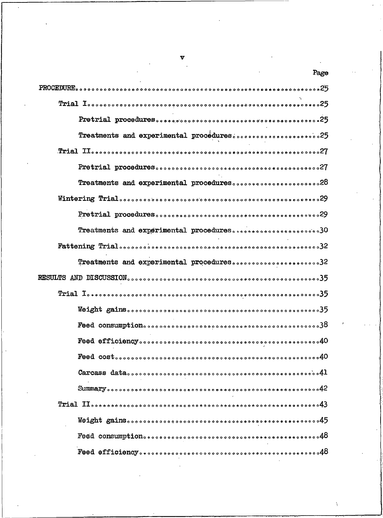| Page                                     |
|------------------------------------------|
|                                          |
|                                          |
|                                          |
| Treatments and experimental procédures25 |
|                                          |
|                                          |
| Treatments and experimental procedures28 |
|                                          |
|                                          |
| Treatments and experimental procedures30 |
|                                          |
| Treatments and experimental procedures32 |
|                                          |
|                                          |
|                                          |
|                                          |
|                                          |
|                                          |
|                                          |
|                                          |
|                                          |
|                                          |
|                                          |
|                                          |

v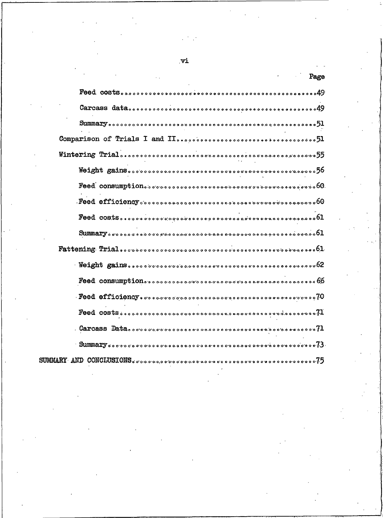| $\mathop{\rm SUMMART}$ and $\mathop{\rm CONCHUSTONS}$ , and a proposition and a proposition of a proposition of $\mathop{75}_{7}$ |
|-----------------------------------------------------------------------------------------------------------------------------------|

 $\mathbf{v}$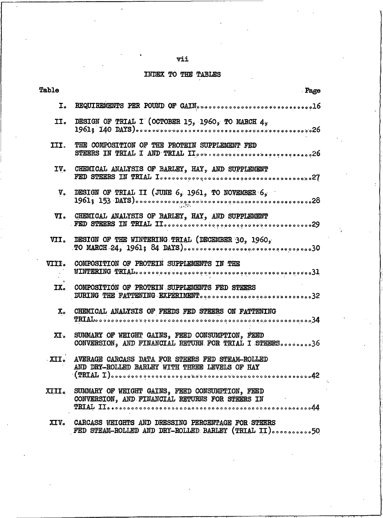# vii

# INDEX TO THE TABLES

| rable          | . Page                                                                                                    |
|----------------|-----------------------------------------------------------------------------------------------------------|
| I.             |                                                                                                           |
| II.            | DESIGN OF TRIAL I (OCTOBER 15, 1960, TO MARCH 4,                                                          |
| III.           | THE COMPOSITION OF THE PROTEIN SUPPLEMENT FED<br>STEERS IN TRIAL I AND TRIAL II26                         |
| IV.            | CHEMICAL ANALYSIS OF BARLEY, HAY, AND SUPPLEMENT                                                          |
| $V_{\circ}$    | DESIGN OF TRIAL II (JUNE $6, 1961, 70$ NOVEMBER $6, 6$                                                    |
| л.             | CHEMICAL ANALYSIS OF BARLEY, HAY, AND SUPPLEMENT                                                          |
| VII.           | DESIGN OF THE WINTERING TRIAL (DECEMBER 30, 1960,                                                         |
| <b>VIII.</b>   | COMPOSITION OF PROTEIN SUPPLEMENTS IN THE                                                                 |
| IX.            | COMPOSITION OF PROTEIN SUPPLEMENTS FED STEERS<br>DURING THE FATTENING EXPERIMENT32                        |
| $\mathbf{x}$ . | CHEMICAL ANALYSIS OF FEEDS FED STEERS ON FATTENING                                                        |
| $\mathbf{X}$ . | SUMMARY OF WEIGHT GAINS, FEED CONSUMPTION, FEED<br>CONVERSION, AND FINANCIAL RETURN FOR TRIAL I STEERS36  |
| XII.           | AVERAGE CARCASS DATA FOR STEERS FED STEAM-ROLLED<br>AND DRY-ROLLED BARLEY WITH THREE LEVELS OF HAY        |
| <b>XIII.</b>   | SUMMARY OF WEIGHT GAINS, FEED CONSUMPTION, FEED<br>CONVERSION, AND FINANCIAL BETURNS FOR STEERS IN        |
| XIV.           | CARCASS WEIGHTS AND DRESSING PERCENTAGE FOR STEERS<br>FED STEAM-ROLLED AND DRY-ROLLED BARLEY (TRIAL II)50 |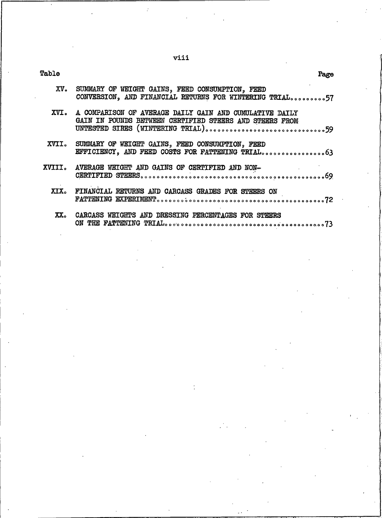viii

| ı<br>п<br>ı |  |
|-------------|--|
|             |  |

| XV. SUMMARY OF WEIGHT GAINS, FEED CONSUMPTION, FEED<br>CONVERSION, AND FINANCIAL RETURNS FOR WINTERING TRIAL57          |
|-------------------------------------------------------------------------------------------------------------------------|
| XVI. A COMPARISON OF AVERAGE DAILY GAIN AND CUMULATIVE DAILY<br>GAIN IN POUNDS BETWEEN CERTIFIED STEERS AND STEERS FROM |
| XVII. SUMMARY OF WEIGHT GAINS, FEED CONSUMPTION, FEED                                                                   |
| XVIII. AVERAGE WEIGHT AND GAINS OF CERTIFIED AND NON-<br>and the state of the state                                     |
| XIX. FINANCIAL RETURNS AND CARCASS GRADES FOR STEERS ON                                                                 |
| XX. CARCASS WEIGHTS AND DRESSING PERCENTAGES FOR STEERS                                                                 |

Page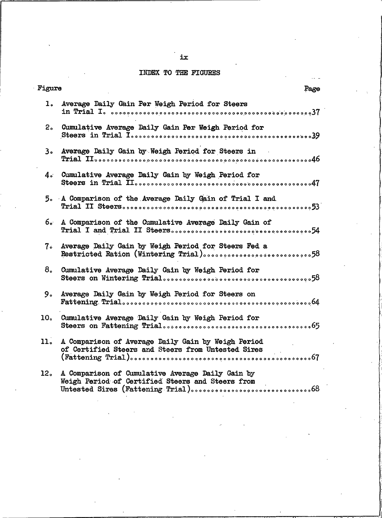## INDEX TO THE FIGURES

| Figure<br>Page  |                                                                                                          |
|-----------------|----------------------------------------------------------------------------------------------------------|
| ı.              | Average Daily Gain Per Weigh Period for Steers                                                           |
| 2 <sub>o</sub>  | Cumulative Average Daily Gain Per Weigh Period for                                                       |
| 3。              | Average Daily Gain by Weigh Period for Steers in                                                         |
| $4\degree$      | Cumulative Average Daily Gain by Weigh Period for                                                        |
|                 | 5. A Comparison of the Average Daily Gain of Trial I and                                                 |
| 6.∙             | A Comparison of the Cumulative Average Daily Gain of                                                     |
| $7\degree$      | Average Daily Gain by Weigh Period for Steers Fed a                                                      |
| 8 <sub>o</sub>  | Cumulative Average Daily Gain by Weigh Period for                                                        |
| 9.              | Average Daily Gain by Weigh Period for Steers on                                                         |
| 10.             | Cumulative Average Daily Gain by Weigh Period for                                                        |
| 11.             | A Comparison of Average Daily Gain by Weigh Period<br>of Certified Steers and Steers from Untested Sires |
| 12 <sub>o</sub> | A Comparison of Cumulative Average Daily Gain by<br>Weigh Period of Certified Steers and Steers from     |

ix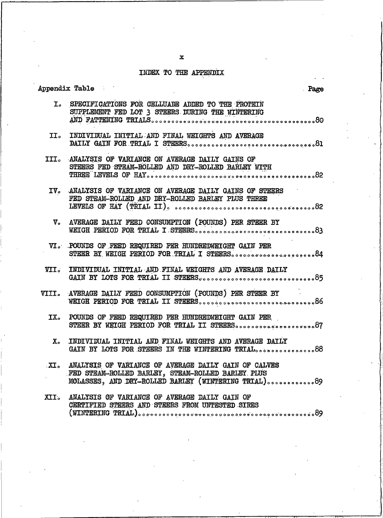# INDEX TO THE APPENDIX

|                        | ppendix Table<br>Page                                                                                                                                            |  |
|------------------------|------------------------------------------------------------------------------------------------------------------------------------------------------------------|--|
| $\mathbf{I}$ .         | SPECIFICATIONS FOR CELLUADE ADDED TO THE PROTEIN<br>SUPPLEMENT FED LOT 3 STEERS DURING THE WINTERING                                                             |  |
|                        | II. INDIVIDUAL INITIAL AND FINAL WEIGHTS AND AVERAGE                                                                                                             |  |
| III。                   | ANALYSIS OF VARIANCE ON AVERAGE DAILY GAINS OF<br>STEERS FED STEAM-ROLLED AND DRY-ROLLED BARLEY WITH                                                             |  |
| IV <sub>o</sub>        | ANALYSIS OF VARIANCE ON AVERAGE DAILY GAINS OF STEERS<br>FED STEAM-ROLLED AND DRY-ROLLED BARLEY PLUS THREE                                                       |  |
| $\mathbf{v}_{\bullet}$ | AVERAGE DAILY FEED CONSUMPTION (POUNDS) PER STEER BY                                                                                                             |  |
|                        | VI. POUNDS OF FEED REQUIRED PER HUNDREDWEIGHT GAIN PER<br>STEER BY WEIGH PERIOD FOR TRIAL I STEERS84                                                             |  |
| VII.                   | INDIVIDUAL INITIAL AND FINAL WEIGHTS AND AVERAGE DAILY                                                                                                           |  |
| <b>VIII.</b>           | AVERAGE DAILY FEED CONSUMPTION (POUNDS) PER STEER BY                                                                                                             |  |
| IX.                    | POUNDS OF FEED REQUIRED PER HUNDREDWEIGHT GAIN PER                                                                                                               |  |
| Х.                     | INDIVIDUAL INITIAL AND FINAL WEIGHTS AND AVERAGE DAILY                                                                                                           |  |
| XI.                    | ANALYSIS OF VARIANCE OF AVERAGE DAILY GAIN OF CALVES<br>FED STEAM-ROLLED BARLEY, STEAM-ROLLED BARLEY PLUS<br>MOLASSES, AND DRY-ROLLED BARLEY (WINTERING TRIAL)89 |  |
| XII.                   | ANALYSIS OF VARIANCE OF AVERAGE DAILY GAIN OF<br>CERTIFIED STEERS AND STEERS FROM UNTESTED SIRES                                                                 |  |

 $\mathbf x$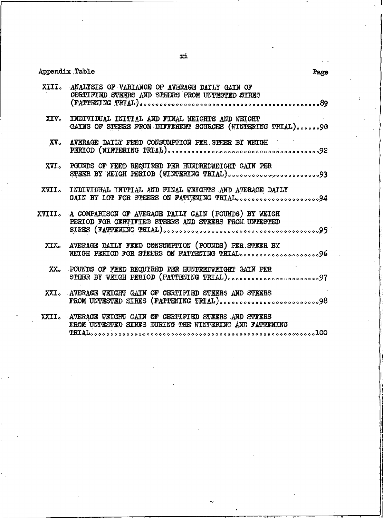# Appendix Table

| XIII.         | ANALYSIS OF VARIANCE OF AVERAGE DAILY GAIN OF<br>CERTIFIED STEERS AND STEERS FROM UNTESTED SIRES                    |
|---------------|---------------------------------------------------------------------------------------------------------------------|
|               |                                                                                                                     |
|               | XIV. INDIVIDUAL INITIAL AND FINAL WEIGHTS AND WEIGHT<br>GAINS OF STEERS FROM DIFFERENT SOURCES (WINTERING TRIAL)90  |
| $XV_{\circ}$  | AVERAGE DAILY FEED CONSUMPTION PER STEER BY WEIGH                                                                   |
| XVI.          | POUNDS OF FEED REQUIRED PER HUNDREDWEIGHT GAIN PER                                                                  |
| XVII.         | INDIVIDUAL INITIAL AND FINAL WEIGHTS AND AVERAGE DAILY<br>GAIN BY LOT FOR STEERS ON FATTENING TRIAL94               |
|               | XVIII. A COMPARISON OF AVERAGE DAILY GAIN (POUNDS) BY WEIGH<br>PERIOD FOR CERTIFIED STEERS AND STEERS FROM UNTESTED |
| XIX.          | AVERAGE DAILY FEED CONSUMPTION (POUNDS) PER STEER BY<br>WEIGH PERIOD FOR STEERS ON FATTENING TRIAL96                |
| $XX_{\alpha}$ | POUNDS OF FEED REQUIRED PER HUNDREDWEIGHT GAIN PER                                                                  |
|               | XXI. AVERAGE WEIGHT GAIN OF CERTIFIED STEERS AND STEERS<br>FROM UNTESTED SIRES (FATTENING TRIAL)98                  |
| XXII.         | AVERAGE WEIGHT GAIN OF CERTIFIED STEERS AND STEERS<br>FROM UNTESTED SIRES DURING THE WINTERING AND FATTENING        |

Page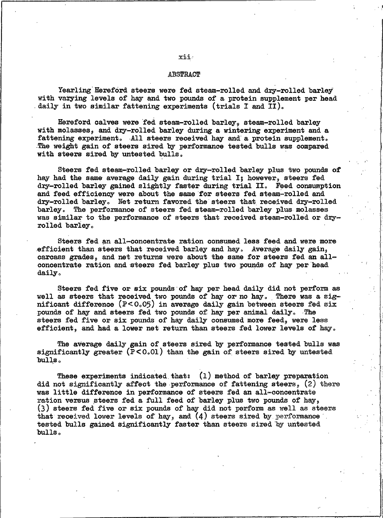#### **ABSTRACT**

Yearling Hereford steers were fed steam-rolled and dry-rolled barley with varying levels of hay and two pounds of a protein supplement per head daily in two similar fattening experiments (trials I and II).

Hereford calves were fed steam-rolled barley, steam-rolled barley with molasses, and dry-rolled barley during a wintering experiment and a fattening experiment. All steers received hay and a protein supplement. The weight gain of steers sired by performance tested bulls was compared with steers sired by untested bulls.

Steers fed steam-rolled barley or dry-rolled barley plus two pounds of hay had the same average daily gain during trial I; however, steers fed dry-rolled barley gained slightly faster during trial II. Feed consumption and feed efficiency were about the same for steers fed steam-rolled and dry-rolled barley. Net return favored the steers that received dry-rolled barley. The performance of steers fed steam-rolled barley plus molasses was similar to the performance of steers that received steam-rolled or dryrolled barley.

Steers fed an all-concentrate ration consumed less feed and were more efficient than steers that received barley and hay. Average daily gain, carcass grades, and net returns were about the same for steers fed an allconcentrate ration and steers fed barley plus two pounds of hay per head daily.

Steers fed five or six pounds of hay per head daily did not perform as well as steers that received two pounds of hay or no hay. There was a significant difference  $(P < 0.05)$  in average daily gain between steers fed six pounds of hay and steers fed two pounds of hay per animal daily. The steers fed five or six pounds of hay daily consumed more feed, were less efficient, and had a lower net return than steers fed lower levels of hay.

The average daily gain of steers sired by performance tested bulls was significantly greater  $(P<0.01)$  than the gain of steers sired by untested bulls.

These experiments indicated that:  $(1)$  method of barley preparation did not significantly affect the performance of fattening steers, (2) there was little difference in performance of steers fed an all-concentrate ration versus steers fed a full feed of barley plus two pounds of hay, (3) steers fed five or six pounds of hay did not perform as well as steers that received lower levels of hay, and  $(4)$  steers sired by performance tested bulls gained significantly faster than steers sired by untested  $bulls<sub>o</sub>$ 

#### xii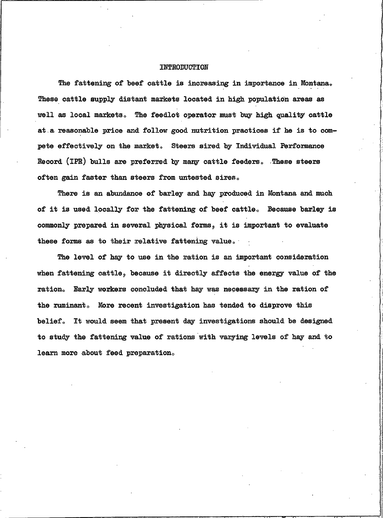#### INTRODUCTION

The fattening of beef cattle is increasing in importance in Montana. These cattle supply distant markets located in high population areas as well as local markets. The feedlot operator must buy high quality cattle at a reasonable price and follow good nutrition practices if he is to compete effectively on the market. Steers sired by Individual Performance Record (IPR) bulls are preferred by many cattle feeders. These steers often gain faster than steers from untested sires.

There is an abundance of barley and hay produced in Montana and much of it is used locally for the fattening of beef cattle. Because barley is commonly prepared in several physical forms, it is important to evaluate these forms as to their relative fattening value.

The level of hay to use in the ration is an important consideration when fattening cattle, because it directly affects the energy value of the ration. Early workers concluded that hay was necessary in the ration of the ruminant. More recent investigation has tended to disprove this belief. It would seem that present day investigations should be designed to study the fattening value of rations with varying levels of hay and to learn more about feed preparation.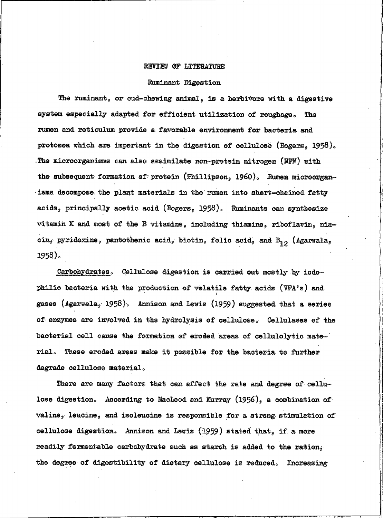### REVIEW OF LITERATURE

### Ruminant Digestion

The ruminant, or cud-chewing animal, is a herbivore with a digestive system especially adapted for efficient utilization of roughage. The rumen and reticulum provide a favorable environment for bacteria and protozoa which are important in the digestion of cellulose (Rogers, 1958). The microorganisms can also assimilate non-protein nitrogen (NPN) with the subsequent formation of protein (Phillipson, 1960). Rumen microorganisms decompose the plant materials in the rumen into short-chained fatty acids, principally acetic acid (Rogers, 1958). Ruminants can synthesize vitamin K and most of the B vitamins, including thiamine, riboflavin, nia- $\sin_j$  pyridoxine, pantothenic acid, biotin, folic acid, and B<sub>12</sub> (Agarwala, 1958).

Carbohydrates. Cellulose digestion is carried out mostly by iodophilic bacteria with the production of volatile fatty acids (VFA's) and gases (Agarwala, 1958). Annison and Lewis (1959) suggested that a series of enzymes are involved in the hydrolysis of cellulose. Cellulases of the bacterial cell cause the formation of eroded areas of cellulolytic mate-These eroded areas make it possible for the bacteria to further rial. degrade cellulose material.

There are many factors that can affect the rate and degree of cellulose digestion. According to Macleod and Murray  $(1956)$ , a combination of valine, leucine, and isoleucine is responsible for a strong stimulation of cellulose digestion. Annison and Lewis (1959) stated that, if a more readily fermentable carbohydrate such as starch is added to the ration, the degree of digestibility of dietary cellulose is reduced. Increasing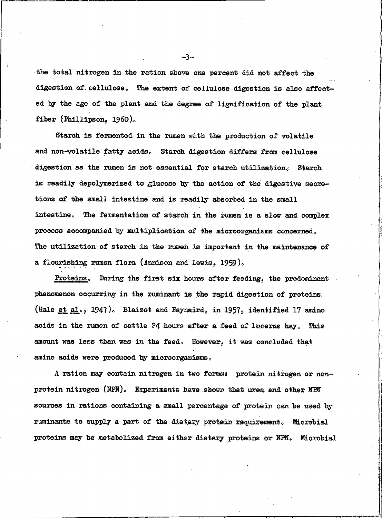the total nitrogen in the ration above one percent did not affect the digestion of cellulose. The extent of cellulose digestion is also affected by the age of the plant and the degree of lignification of the plant fiber (Phillipson, 1960).

Starch is fermented in the rumen with the production of volatile and non-volatile fatty acids. Starch digestion differs from cellulose digestion as the rumen is not essential for starch utilization. **Starch** is readily depolymerized to glucose by the action of the digestive secretions of the small intestine and is readily absorbed in the small intestine. The fermentation of starch in the rumen is a slow and complex process accompanied by multiplication of the microorganisms concerned. The utilization of starch in the rumen is important in the maintenance of a flourishing rumen flora (Annison and Lewis, 1959).

Proteins. During the first six hours after feeding, the predominant phenomenon occurring in the ruminant is the rapid digestion of proteins. (Hale et al., 1947). Blaizot and Raynaird, in 1957, identified 17 amino acids in the rumen of cattle 24 hours after a feed of lucerne hay. This amount was less than was in the feed. However, it was concluded that amino acids were produced by microorganisms.

A ration may contain nitrogen in two forms: protein nitrogen or nonprotein nitrogen (NPN). Experiments have shown that urea and other NPN sources in rations containing a small percentage of protein can be used by ruminants to supply a part of the dietary protein requirement. Microbial proteins may be metabolized from either dietary proteins or NPN. Microbial

—ุ∢ิ⊸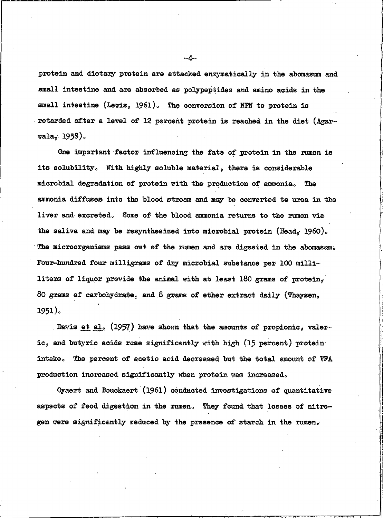protein and dietary protein are attacked enzymatically in the abomasum and small intestine and are absorbed as polypeptides and amino acids in the small intestine (Lewis, 1961). The conversion of NPN to protein is retarded after a level of 12 percent protein is reached in the diet (Agar $wala, 1958)$ .

One important factor influencing the fate of protein in the rumen is its solubility. With highly soluble material, there is considerable microbial degradation of protein with the production of ammonia. The ammonia diffuses into the blood stream and may be converted to urea in the liver and excreted. Some of the blood ammonia returns to the rumen via the saliva and may be resynthesized into microbial protein (Head,  $1960$ ). The microorganisms pass out of the rumen and are digested in the abomasum. Four-hundred four milligrams of dry microbial substance per 100 milliliters of liquor provide the animal with at least 180 grams of protein, 80 grams of carbohydrate, and 8 grams of ether extract daily (Thaysen,  $1951$ ).

. Davis et al. (1957) have shown that the amounts of propionic, valeric, and butyric acids rose significantly with high (15 percent) protein intake. The percent of acetic acid decreased but the total amount of VFA production increased significantly when protein was increased.

Oyaert and Bouckaert (1961) conducted investigations of quantitative aspects of food digestion in the rumen. They found that losses of nitrogen were significantly reduced by the presence of starch in the rumen.

 $-4-$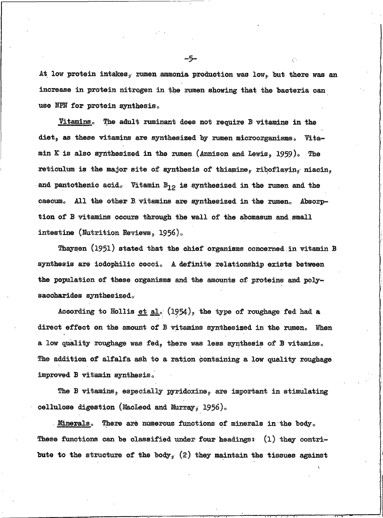At low protein intakes, rumen ammonia production was low, but there was an increase in protein nitrogen in the rumen showing that the bacteria can use NPN for protein synthesis.

<u>Vitamins.</u> The adult ruminant does not require B vitamins in the diet, as these vitamins are synthesized by rumen microorganisms. Vitamin K is also synthesized in the rumen (Annison and Lewis,  $1959$ ). The reticulum is the major site of synthesis of thiamine, riboflayin, niacin, and pantothenic acid. Vitamin  $B_{12}$  is synthesized in the rumen and the caecum. All the other B vitamins are synthesized in the rumen. Absorption of B vitamins occurs through the wall of the abomasum and small intestine (Nutrition Reviews, 1956).

Thaysen (1951) stated that the chief organisms concerned in vitamin B synthesis are iodophilic cocci. A definite relationship exists between the population of these organisms and the amounts of proteins and polysaccharides synthesized.

According to Hollis et al.  $(1954)$ , the type of roughage fed had a direct effect on the amount of B vitamins synthesized in the rumen. When a low quality roughage was fed, there was less synthesis of B vitamins. The addition of alfalfa ash to a ration containing a low quality roughage improved B vitamin synthesis.

The B vitamins, especially pyridoxine, are important in stimulating cellulose digestion (MacLeod and Murray, 1956).

Minerals. There are numerous functions of minerals in the body. These functions can be classified under four headings:  $(1)$  they contribute to the structure of the body, (2) they maintain the tissues against

⊸წ⊸

Ñ.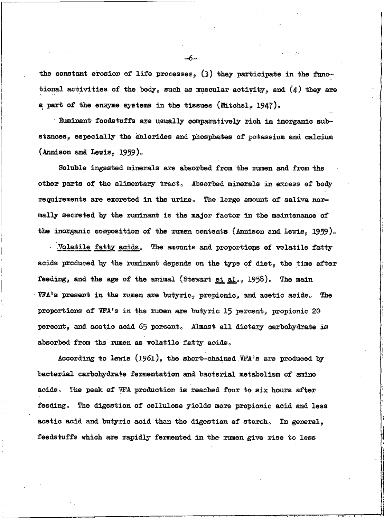the constant erosion of life processes,  $(3)$  they participate in the functional activities of the body, such as muscular activity, and  $(4)$  they are a part of the enzyme systems in the tissues (Mitchel, 1947).

Ruminant foodstuffs are usually comparatively rich in inorganic substances, especially the chlorides and phosphates of potassium and calcium (Annison and Lewis,  $1959$ ).

Soluble ingested minerals are absorbed from the rumen and from the other parts of the alimentary tract. Absorbed minerals in excess of body requirements are excreted in the urine. The large amount of saliva normally secreted by the ruminant is the major factor in the maintenance of the inorganic composition of the rumen contents (Annison and Lewis, 1959).

Volatile fatty acids. The amounts and proportions of volatile fatty acids produced by the ruminant depends on the type of diet, the time after feeding, and the age of the animal (Stewart et al., 1958). The main VFA's present in the rumen are butyric, propionic, and acetic acids. The proportions of VFA's in the rumen are butyric 15 percent, propionic 20 percent, and acetic acid 65 percent. Almost all dietary carbohydrate is absorbed from the rumen as volatile fatty acids.

According to Lewis (1961), the short-chained VFA's are produced by bacterial carbohydrate fermentation and bacterial metabolism of amino acids. The peak of WFA production is reached four to six hours after feeding. The digestion of cellulose yields more propionic acid and less acetic acid and butyric acid than the digestion of starch. In general, feedstuffs which are rapidly fermented in the rumen give rise to less

.ĥ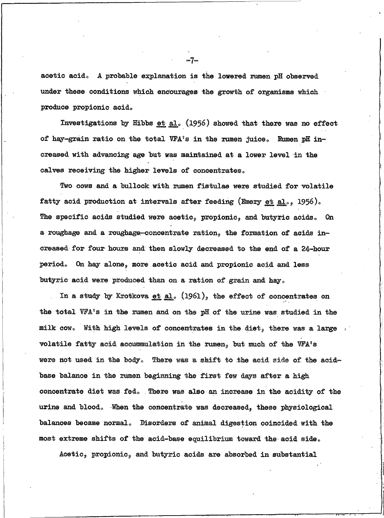acetic acid. A probable explanation is the lowered rumen pH observed under these conditions which encourages the growth of organisms which produce propionic acid.

Investigations by Hibbs et al. (1956) showed that there was no effect of hay-grain ratio on the total VFA's in the rumen juice. Rumen pH increased with advancing age but was maintained at a lower level in the calves receiving the higher levels of concentrates.

Two cows and a bullock with rumen fistulae were studied for volatile fatty acid production at intervals after feeding (Emery et al., 1956). The specific acids studied were acetic, propionic, and butyric acids. 0n a roughage and a roughage-concentrate ration, the formation of acids increased for four hours and then slowly decreased to the end of a 24-hour On hay alone, more acetic acid and propionic acid and less period. butyric acid were produced than on a ration of grain and hay.

In a study by Krotkova et al.  $(1961)$ , the effect of concentrates on the total VFA's in the rumen and on the pH of the urine was studied in the milk cow. With high levels of concentrates in the diet, there was a large volatile fatty acid accummulation in the rumen, but much of the VFA's were not used in the body. There was a shift to the acid side of the acidbase balance in the rumen beginning the first few days after a high concentrate diet was fed. There was also an increase in the acidity of the urine and blood. When the concentrate was decreased, these physiological balances became normal. Disorders of animal digestion coincided with the most extreme shifts of the acid-base equilibrium toward the acid side.

Acetic, propionic, and butyric acids are absorbed in substantial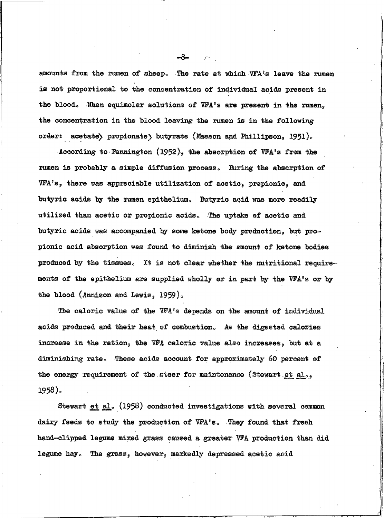amounts from the rumen of sheep. The rate at which VFA's leave the rumen is not proportional to the concentration of individual acids present in the blood. When equimolar solutions of VFA's are present in the rumen, the concentration in the blood leaving the rumen is in the following order: acetate) propionate) butyrate (Masson and Phillipson, 1951).

According to Pennington  $(1952)$ , the absorption of VFA's from the rumen is probably a simple diffusion process. During the absorption of VFA's, there was appreciable utilization of acetic, propionic, and butyric acids by the rumen epithelium. Butyric acid was more readily utilized than acetic or propionic acids. The uptake of acetic and butyric acids was accompanied by some ketone body production, but propionic acid absorption was found to diminish the amount of ketone bodies produced by the tissues. It is not clear whether the nutritional requirements of the epithelium are supplied wholly or in part by the VFA's or by the blood (Annison and Lewis, 1959).

The caloric value of the VFA's depends on the amount of individual acids produced and their heat of combustion. As the digested calories increase in the ration, the WFA caloric value also increases, but at a diminishing rate. These acids account for approximately 60 percent of the energy requirement of the steer for maintenance (Stewart et al., 1958).

Stewart et al. (1958) conducted investigations with several common dairy feeds to study the production of VFA's. They found that fresh hand-clipped legume mixed grass caused a greater VFA production than did legume hay. The grass, however, markedly depressed acetic acid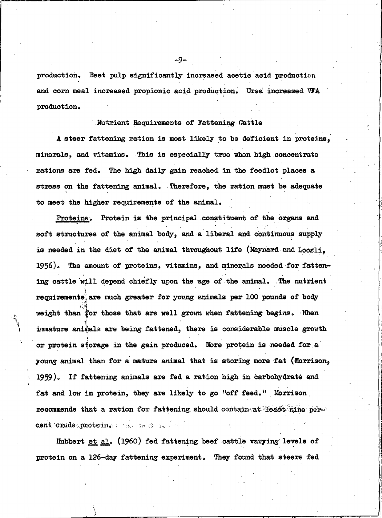production. Beet pulp significantly increased acetic acid production and corn meal increased propionic acid production. Urea increased VFA production.

### Nutrient Requirements of Fattening Cattle

A steer fattening ration is most likely to be deficient in proteins, minerals, and vitamins. This is especially true when high concentrate rations are fed. The high daily gain reached in the feedlot places a stress on the fattening animal. Therefore, the ration must be adequate to meet the higher requirements of the animal.

Proteins. Protein is the principal constituent of the organs and soft structures of the animal body, and a liberal and continuous supply is needed in the diet of the animal throughout life (Maynard and Loosli. 1956). The amount of proteins, vitamins, and minerals needed for fattening cattle will depend chiefly upon the age of the animal. The nutrient requirements, are much greater for young animals per 100 pounds of body weight than for those that are well grown when fattening begins. When immature animals are being fattened, there is considerable muscle growth or protein storage in the gain produced. More protein is needed for a young animal than for a mature animal that is storing more fat (Morrison, 1959). If fattening animals are fed a ration high in carbohydrate and fat and low in protein, they are likely to go "off feed." Morrison recommends that a ration for fattening should contain at least nine percent crude protein. The test me is

Hubbert et al. (1960) fed fattening beef cattle varying levels of protein on a 126-day fattening experiment. They found that steers fed

.9.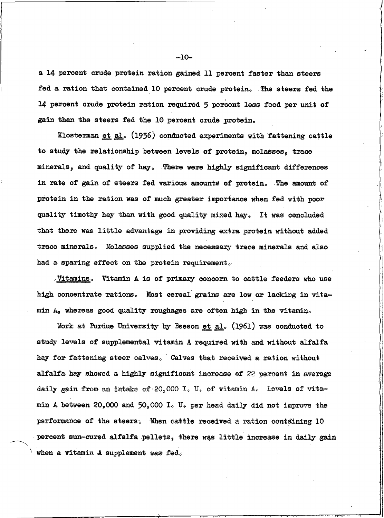a 14 percent crude protein ration gained 11 percent faster than steers fed a ration that contained 10 percent crude protein. The steers fed the 14 percent crude protein ration required 5 percent less feed per unit of gain than the steers fed the 10 percent crude protein.

Klosterman et al. (1956) conducted experiments with fattening cattle to study the relationship between levels of protein, molasses, trace minerals, and quality of hay. There were highly significant differences in rate of gain of steers fed various amounts of protein. The amount of protein in the ration was of much greater importance when fed with poor quality timothy hay than with good quality mixed hay. It was concluded that there was little advantage in providing extra protein without added trace minerals. Molasses supplied the necessary trace minerals and also had a sparing effect on the protein requirement.

Vitamins. Vitamin A is of primary concern to cattle feeders who use high concentrate rations. Most cereal grains are low or lacking in vitamin A, whereas good quality roughages are often high in the vitamin.

Work at Purdue University by Beeson et al. (1961) was conducted to study levels of supplemental vitamin A required with and without alfalfa hay for fattening steer calves. Calves that received a ration without alfalfa hay showed a highly significant increase of 22 percent in average daily gain from an intake of 20,000 I. U. of vitamin  $A<sub>s</sub>$  levels of vitamin A between 20,000 and 50,000 I. U. per head daily did not improve the performance of the steers. When cattle received a ration containing 10 percent sun-cured alfalfa pellets, there was little increase in daily gain when a vitamin A supplement was fed.

 $-10-$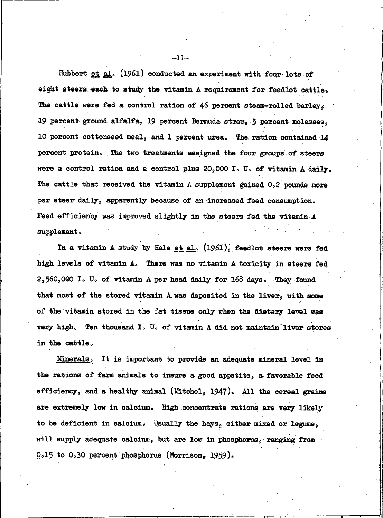Hubbert et al. (1961) conducted an experiment with four lots of eight steers each to study the vitamin A requirement for feedlot cattle. The cattle were fed a control ration of 46 percent steam-rolled barley, 19 percent ground alfalfa, 19 percent Bermuda straw, 5 percent molasses, 10 percent cottonseed meal, and 1 percent urea. The ration contained 14 percent protein. The two treatments assigned the four groups of steers were a control ration and a control plus 20,000 I. U. of vitamin A daily. The cattle that received the vitamin A supplement gained 0.2 pounds more per steer daily, apparently because of an increased feed consumption. Feed efficiency was improved slightly in the steers fed the vitamin A supplement.

In a vitamin A study by Hale et al. (1961), feedlot steers were fed high levels of vitamin A. There was no vitamin A toxicity in steers fed 2,560,000 I. U. of vitamin A per head daily for 168 days. They found that most of the stored vitamin A was deposited in the liver, with some of the vitamin stored in the fat tissue only when the dietary level was very high. Ten thousand I. U. of vitamin A did not maintain liver stores in the cattle.

Minerals. It is important to provide an adequate mineral level in the rations of farm animals to insure a good appetite, a favorable feed efficiency, and a healthy animal (Mitchel, 1947). All the cereal grains are extremely low in calcium. High concentrate rations are very likely to be deficient in calcium. Usually the hays, either mixed or legume, will supply adequate calcium, but are low in phosphorus, ranging from  $0.15$  to  $0.30$  percent phosphorus (Morrison, 1959).

 $-11-$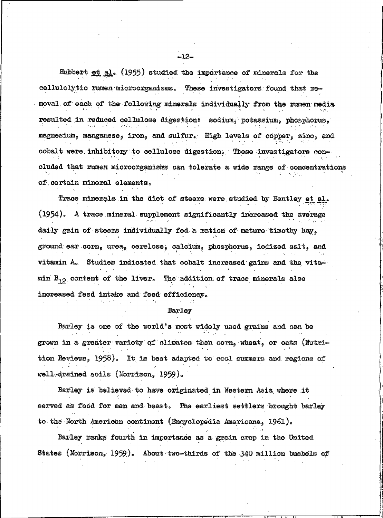Hubbert et al. (1955) studied the importance of minerals for the cellulolytic rumen microorganisms. These investigators found that removal of each of the following minerals individually from the rumen media resulted in reduced cellulose digestion: sodium, potassium, phosphorus, magnesium, manganese, iron, and sulfur. High levels of copper, zinc, and cobalt were inhibitory to cellulose digestion. These investigators concluded that rumen microorganisms can tolerate a wide range of concentrations of certain mineral elements.

Trace minerals in the diet of steers were studied by Bentley et al. (1954). A trace mineral supplement significantly increased the average daily gain of steers individually fed a ration of mature timothy hay, ground ear corn, urea, cerelose, calcium, phosphorus, iodized salt, and vitamin  $A_0$ . Studies indicated that cobalt increased gains and the vitamin  $B_{10}$  content of the liver. The addition of trace minerals also increased feed intake and feed efficiency.

#### Barley

Barley is one of the world's most widely used grains and can be grown in a greater variety of climates than corn, wheat, or oats (Nutrition Reviews, 1958). It is best adapted to cool summers and regions of  $well$ -drained soils (Morrison, 1959).

Barley is believed to have originated in Western Asia where it served as food for man and beast. The earliest settlers brought barley to the North American continent (Encyclopedia Americana, 1961).

Barley ranks fourth in importance as a grain crop in the United States (Morrison, 1959). About two-thirds of the 340 million bushels of

 $-12-$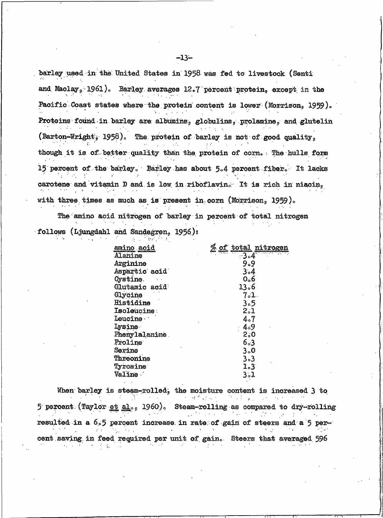barley used in the United States in 1958 was fed to livestock (Senti and Maclay, 1961). Barley averages 12.7 percent protein, except in the Pacific Coast states where the protein content is lower (Morrison, 1959). Proteins found in barley are albumins, globulins, prolamine, and glutelin (Barton-Wright, 1958). The protein of barley is not of good quality, though it is of better quality than the protein of corn. The hulls form 15 percent of the barley. Barley has about 5.4 percent fiber. It lacks carotene and vitamin D and is low in riboflavin. It is rich in niacin, with three times as much as is present in corn (Morrison,  $1959$ ).

The amino acid nitrogen of barley in percent of total nitrogen follows (Ljungdahl and Sandegren, 1956):

| amino acid           | <u>of total</u><br>nitrogen |
|----------------------|-----------------------------|
| Alanine              | $-3.4$                      |
| Arginine             | 9.9                         |
| Aspartic acid        | 3.4                         |
| Cystine.             | 0 <sub>o</sub> 6            |
| Glutamic acid        | 13.6                        |
| Glycine              | 7.1                         |
| Histidine            | 3.5                         |
| Isoleucine:          | 2.1                         |
| Leucine ·            | 4.7                         |
| <b>Lysine</b>        | 4.89                        |
| Phenylalanime        | 2,0                         |
| Proline <sup>®</sup> | 6003                        |
| Serine               | 3.0                         |
| Threonine            | $3 - 3$                     |
| Tyrosine             | 1.3                         |
| Valine.              | 3.1                         |
|                      |                             |

When barley is steam-rolled, the moisture content is increased 3 to n a shekar 5 percent (Taylor et al.,  $1960$ ). Steam-rolling as compared to dry-rolling فالعامل  $\sim$ resulted in a  $6.5$  percent increase in rate of gain of steers and a  $5$  percent saving in feed required per unit of gain. Steers that averaged 596